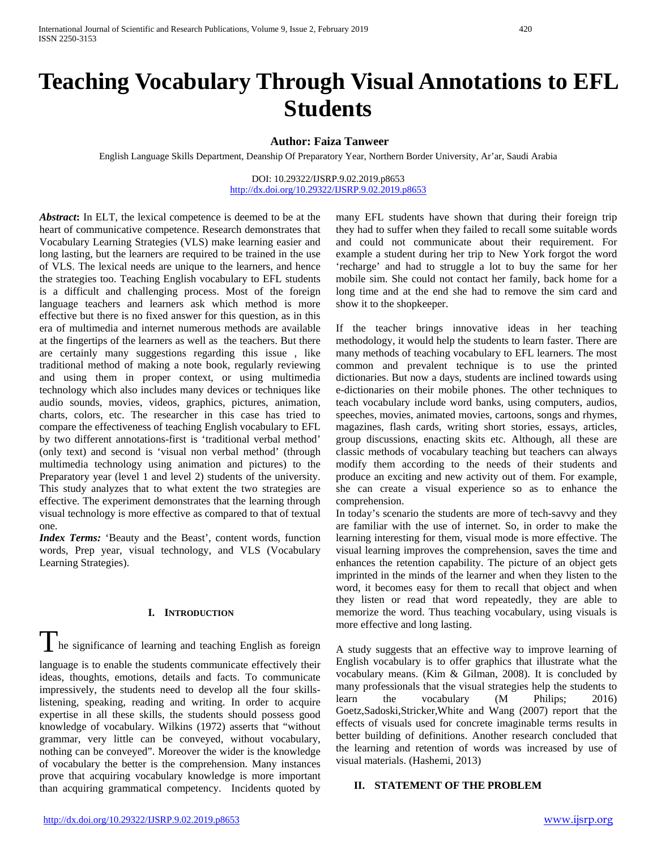# **Teaching Vocabulary Through Visual Annotations to EFL Students**

### **Author: Faiza Tanweer**

English Language Skills Department, Deanship Of Preparatory Year, Northern Border University, Ar'ar, Saudi Arabia

DOI: 10.29322/IJSRP.9.02.2019.p8653 <http://dx.doi.org/10.29322/IJSRP.9.02.2019.p8653>

*Abstract***:** In ELT, the lexical competence is deemed to be at the heart of communicative competence. Research demonstrates that Vocabulary Learning Strategies (VLS) make learning easier and long lasting, but the learners are required to be trained in the use of VLS. The lexical needs are unique to the learners, and hence the strategies too. Teaching English vocabulary to EFL students is a difficult and challenging process. Most of the foreign language teachers and learners ask which method is more effective but there is no fixed answer for this question, as in this era of multimedia and internet numerous methods are available at the fingertips of the learners as well as the teachers. But there are certainly many suggestions regarding this issue , like traditional method of making a note book, regularly reviewing and using them in proper context, or using multimedia technology which also includes many devices or techniques like audio sounds, movies, videos, graphics, pictures, animation, charts, colors, etc. The researcher in this case has tried to compare the effectiveness of teaching English vocabulary to EFL by two different annotations-first is 'traditional verbal method' (only text) and second is 'visual non verbal method' (through multimedia technology using animation and pictures) to the Preparatory year (level 1 and level 2) students of the university. This study analyzes that to what extent the two strategies are effective. The experiment demonstrates that the learning through visual technology is more effective as compared to that of textual one.

*Index Terms:* 'Beauty and the Beast', content words, function words, Prep year, visual technology, and VLS (Vocabulary Learning Strategies).

#### **I. INTRODUCTION**

I he significance of learning and teaching English as foreign

language is to enable the students communicate effectively their ideas, thoughts, emotions, details and facts. To communicate impressively, the students need to develop all the four skillslistening, speaking, reading and writing. In order to acquire expertise in all these skills, the students should possess good knowledge of vocabulary. Wilkins (1972) asserts that "without grammar, very little can be conveyed, without vocabulary, nothing can be conveyed". Moreover the wider is the knowledge of vocabulary the better is the comprehension. Many instances prove that acquiring vocabulary knowledge is more important than acquiring grammatical competency. Incidents quoted by many EFL students have shown that during their foreign trip they had to suffer when they failed to recall some suitable words and could not communicate about their requirement. For example a student during her trip to New York forgot the word 'recharge' and had to struggle a lot to buy the same for her mobile sim. She could not contact her family, back home for a long time and at the end she had to remove the sim card and show it to the shopkeeper.

If the teacher brings innovative ideas in her teaching methodology, it would help the students to learn faster. There are many methods of teaching vocabulary to EFL learners. The most common and prevalent technique is to use the printed dictionaries. But now a days, students are inclined towards using e-dictionaries on their mobile phones. The other techniques to teach vocabulary include word banks, using computers, audios, speeches, movies, animated movies, cartoons, songs and rhymes, magazines, flash cards, writing short stories, essays, articles, group discussions, enacting skits etc. Although, all these are classic methods of vocabulary teaching but teachers can always modify them according to the needs of their students and produce an exciting and new activity out of them. For example, she can create a visual experience so as to enhance the comprehension.

In today's scenario the students are more of tech-savvy and they are familiar with the use of internet. So, in order to make the learning interesting for them, visual mode is more effective. The visual learning improves the comprehension, saves the time and enhances the retention capability. The picture of an object gets imprinted in the minds of the learner and when they listen to the word, it becomes easy for them to recall that object and when they listen or read that word repeatedly, they are able to memorize the word. Thus teaching vocabulary, using visuals is more effective and long lasting.

A study suggests that an effective way to improve learning of English vocabulary is to offer graphics that illustrate what the vocabulary means. (Kim & Gilman, 2008). It is concluded by many professionals that the visual strategies help the students to learn the vocabulary (M Philips; 2016) Goetz,Sadoski,Stricker,White and Wang (2007) report that the effects of visuals used for concrete imaginable terms results in better building of definitions. Another research concluded that the learning and retention of words was increased by use of visual materials. (Hashemi, 2013)

### **II. STATEMENT OF THE PROBLEM**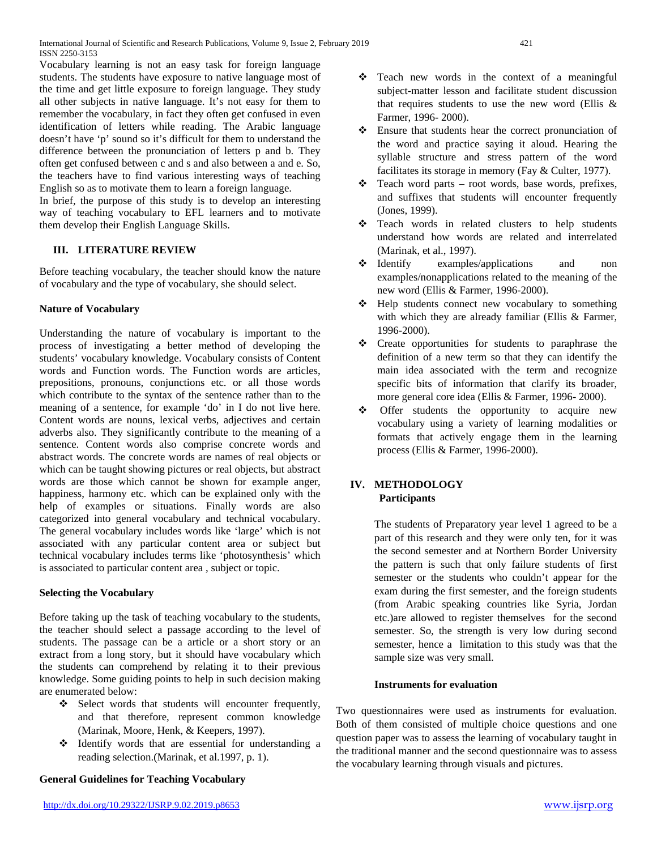Vocabulary learning is not an easy task for foreign language students. The students have exposure to native language most of the time and get little exposure to foreign language. They study all other subjects in native language. It's not easy for them to remember the vocabulary, in fact they often get confused in even identification of letters while reading. The Arabic language doesn't have 'p' sound so it's difficult for them to understand the difference between the pronunciation of letters p and b. They often get confused between c and s and also between a and e. So, the teachers have to find various interesting ways of teaching English so as to motivate them to learn a foreign language.

In brief, the purpose of this study is to develop an interesting way of teaching vocabulary to EFL learners and to motivate them develop their English Language Skills.

# **III. LITERATURE REVIEW**

Before teaching vocabulary, the teacher should know the nature of vocabulary and the type of vocabulary, she should select.

# **Nature of Vocabulary**

Understanding the nature of vocabulary is important to the process of investigating a better method of developing the students' vocabulary knowledge. Vocabulary consists of Content words and Function words. The Function words are articles, prepositions, pronouns, conjunctions etc. or all those words which contribute to the syntax of the sentence rather than to the meaning of a sentence, for example 'do' in I do not live here. Content words are nouns, lexical verbs, adjectives and certain adverbs also. They significantly contribute to the meaning of a sentence. Content words also comprise concrete words and abstract words. The concrete words are names of real objects or which can be taught showing pictures or real objects, but abstract words are those which cannot be shown for example anger, happiness, harmony etc. which can be explained only with the help of examples or situations. Finally words are also categorized into general vocabulary and technical vocabulary. The general vocabulary includes words like 'large' which is not associated with any particular content area or subject but technical vocabulary includes terms like 'photosynthesis' which is associated to particular content area , subject or topic.

# **Selecting the Vocabulary**

Before taking up the task of teaching vocabulary to the students, the teacher should select a passage according to the level of students. The passage can be a article or a short story or an extract from a long story, but it should have vocabulary which the students can comprehend by relating it to their previous knowledge. Some guiding points to help in such decision making are enumerated below:

- Select words that students will encounter frequently, and that therefore, represent common knowledge (Marinak, Moore, Henk, & Keepers, 1997).
- Identify words that are essential for understanding a reading selection.(Marinak, et al.1997, p. 1).

# **General Guidelines for Teaching Vocabulary**

- Ensure that students hear the correct pronunciation of the word and practice saying it aloud. Hearing the syllable structure and stress pattern of the word facilitates its storage in memory (Fay & Culter, 1977).
- $\triangleleft$  Teach word parts root words, base words, prefixes, and suffixes that students will encounter frequently (Jones, 1999).
- Teach words in related clusters to help students understand how words are related and interrelated (Marinak, et al., 1997).
- Identify examples/applications and non examples/nonapplications related to the meaning of the new word (Ellis & Farmer, 1996-2000).
- Help students connect new vocabulary to something with which they are already familiar (Ellis & Farmer, 1996-2000).
- \* Create opportunities for students to paraphrase the definition of a new term so that they can identify the main idea associated with the term and recognize specific bits of information that clarify its broader, more general core idea (Ellis & Farmer, 1996- 2000).
- Offer students the opportunity to acquire new vocabulary using a variety of learning modalities or formats that actively engage them in the learning process (Ellis & Farmer, 1996-2000).

# **IV. METHODOLOGY Participants**

The students of Preparatory year level 1 agreed to be a part of this research and they were only ten, for it was the second semester and at Northern Border University the pattern is such that only failure students of first semester or the students who couldn't appear for the exam during the first semester, and the foreign students (from Arabic speaking countries like Syria, Jordan etc.)are allowed to register themselves for the second semester. So, the strength is very low during second semester, hence a limitation to this study was that the sample size was very small.

# **Instruments for evaluation**

Two questionnaires were used as instruments for evaluation. Both of them consisted of multiple choice questions and one question paper was to assess the learning of vocabulary taught in the traditional manner and the second questionnaire was to assess the vocabulary learning through visuals and pictures.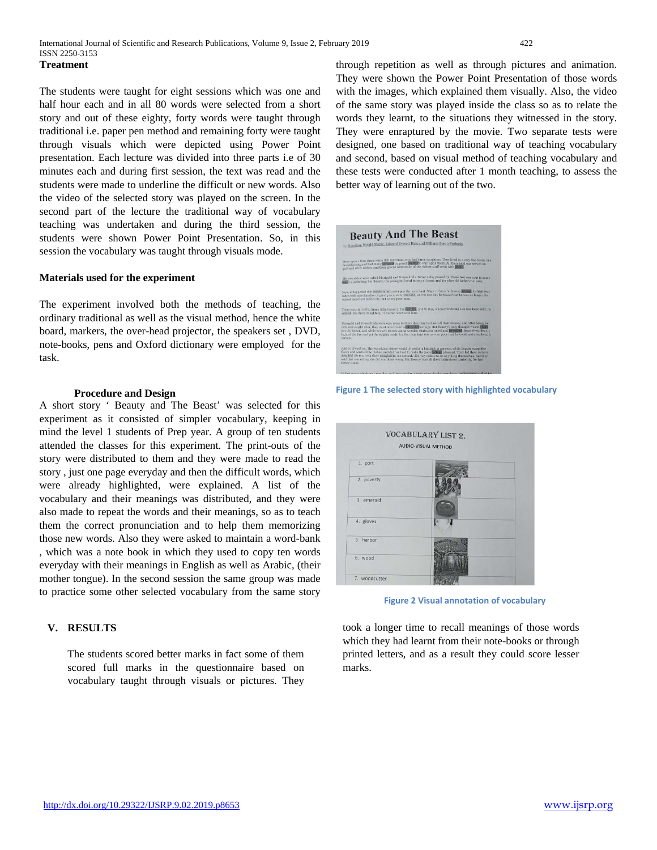#### **Treatment**

The students were taught for eight sessions which was one and half hour each and in all 80 words were selected from a short story and out of these eighty, forty words were taught through traditional i.e. paper pen method and remaining forty were taught through visuals which were depicted using Power Point presentation. Each lecture was divided into three parts i.e of 30 minutes each and during first session, the text was read and the students were made to underline the difficult or new words. Also the video of the selected story was played on the screen. In the second part of the lecture the traditional way of vocabulary teaching was undertaken and during the third session, the students were shown Power Point Presentation. So, in this session the vocabulary was taught through visuals mode.

#### **Materials used for the experiment**

The experiment involved both the methods of teaching, the ordinary traditional as well as the visual method, hence the white board, markers, the over-head projector, the speakers set , DVD, note-books, pens and Oxford dictionary were employed for the task.

#### **Procedure and Design**

A short story ' Beauty and The Beast' was selected for this experiment as it consisted of simpler vocabulary, keeping in mind the level 1 students of Prep year. A group of ten students attended the classes for this experiment. The print-outs of the story were distributed to them and they were made to read the story , just one page everyday and then the difficult words, which were already highlighted, were explained. A list of the vocabulary and their meanings was distributed, and they were also made to repeat the words and their meanings, so as to teach them the correct pronunciation and to help them memorizing those new words. Also they were asked to maintain a word-bank , which was a note book in which they used to copy ten words everyday with their meanings in English as well as Arabic, (their mother tongue). In the second session the same group was made to practice some other selected vocabulary from the same story

#### **V. RESULTS**

The students scored better marks in fact some of them scored full marks in the questionnaire based on vocabulary taught through visuals or pictures. They through repetition as well as through pictures and animation. They were shown the Power Point Presentation of those words with the images, which explained them visually. Also, the video of the same story was played inside the class so as to relate the words they learnt, to the situations they witnessed in the story. They were enraptured by the movie. Two separate tests were designed, one based on traditional way of teaching vocabulary and second, based on visual method of teaching vocabulary and these tests were conducted after 1 month teaching, to assess the better way of learning out of the two.



**Figure 1 The selected story with highlighted vocabulary**



 **Figure 2 Visual annotation of vocabulary**

took a longer time to recall meanings of those words which they had learnt from their note-books or through printed letters, and as a result they could score lesser marks.